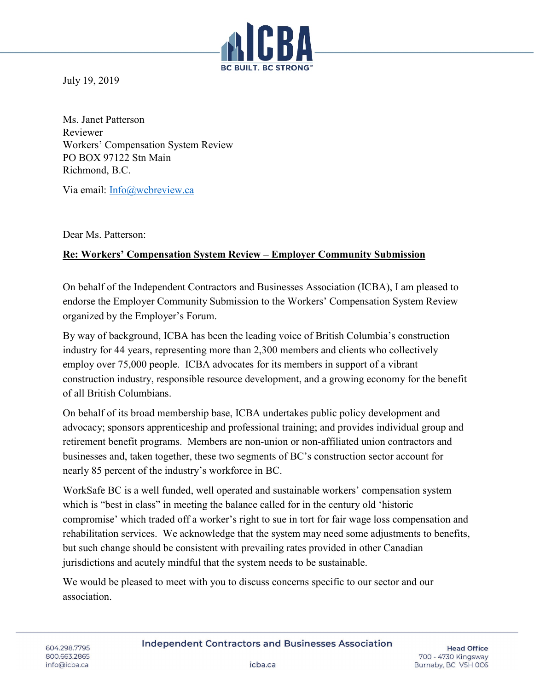

July 19, 2019

Ms. Janet Patterson Reviewer Workers' Compensation System Review PO BOX 97122 Stn Main Richmond, B.C.

Via email: [Info@wcbreview.ca](mailto:Info@wcbreview.ca)

Dear Ms. Patterson:

## **Re: Workers' Compensation System Review – Employer Community Submission**

On behalf of the Independent Contractors and Businesses Association (ICBA), I am pleased to endorse the Employer Community Submission to the Workers' Compensation System Review organized by the Employer's Forum.

By way of background, ICBA has been the leading voice of British Columbia's construction industry for 44 years, representing more than 2,300 members and clients who collectively employ over 75,000 people. ICBA advocates for its members in support of a vibrant construction industry, responsible resource development, and a growing economy for the benefit of all British Columbians.

On behalf of its broad membership base, ICBA undertakes public policy development and advocacy; sponsors apprenticeship and professional training; and provides individual group and retirement benefit programs. Members are non-union or non-affiliated union contractors and businesses and, taken together, these two segments of BC's construction sector account for nearly 85 percent of the industry's workforce in BC.

WorkSafe BC is a well funded, well operated and sustainable workers' compensation system which is "best in class" in meeting the balance called for in the century old 'historic compromise' which traded off a worker's right to sue in tort for fair wage loss compensation and rehabilitation services. We acknowledge that the system may need some adjustments to benefits, but such change should be consistent with prevailing rates provided in other Canadian jurisdictions and acutely mindful that the system needs to be sustainable.

We would be pleased to meet with you to discuss concerns specific to our sector and our association.